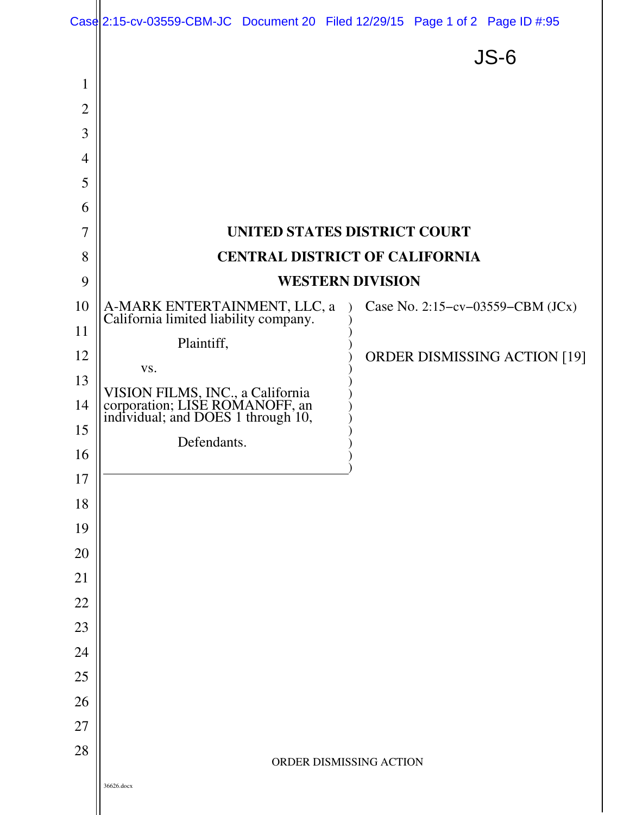|                |                                                                                                                         |  |  | Case 2:15-cv-03559-CBM-JC Document 20 Filed 12/29/15 Page 1 of 2 Page ID #:95 |  |
|----------------|-------------------------------------------------------------------------------------------------------------------------|--|--|-------------------------------------------------------------------------------|--|
|                |                                                                                                                         |  |  | $JS-6$                                                                        |  |
| $\mathbf{1}$   |                                                                                                                         |  |  |                                                                               |  |
| $\overline{2}$ |                                                                                                                         |  |  |                                                                               |  |
| 3              |                                                                                                                         |  |  |                                                                               |  |
| $\overline{4}$ |                                                                                                                         |  |  |                                                                               |  |
| 5              |                                                                                                                         |  |  |                                                                               |  |
| 6              |                                                                                                                         |  |  |                                                                               |  |
| $\overline{7}$ | UNITED STATES DISTRICT COURT                                                                                            |  |  |                                                                               |  |
| 8              | <b>CENTRAL DISTRICT OF CALIFORNIA</b>                                                                                   |  |  |                                                                               |  |
| 9              | <b>WESTERN DIVISION</b>                                                                                                 |  |  |                                                                               |  |
| 10             | A-MARK ENTERTAINMENT, LLC, a California limited liability company.                                                      |  |  | Case No. 2:15-cv-03559-CBM $(JCx)$                                            |  |
| 11             | Plaintiff,                                                                                                              |  |  |                                                                               |  |
| 12<br>13       | VS.                                                                                                                     |  |  | <b>ORDER DISMISSING ACTION [19]</b>                                           |  |
| 14             | VISION FILMS, INC., a California<br>corporation; LISE ROMANOFF, an<br>individual; and DOES 1 through 10,<br>Defendants. |  |  |                                                                               |  |
| 15             |                                                                                                                         |  |  |                                                                               |  |
| 16             |                                                                                                                         |  |  |                                                                               |  |
| 17             |                                                                                                                         |  |  |                                                                               |  |
| 18             |                                                                                                                         |  |  |                                                                               |  |
| 19             |                                                                                                                         |  |  |                                                                               |  |
| 20             |                                                                                                                         |  |  |                                                                               |  |
| 21             |                                                                                                                         |  |  |                                                                               |  |
| 22             |                                                                                                                         |  |  |                                                                               |  |
| 23             |                                                                                                                         |  |  |                                                                               |  |
| 24             |                                                                                                                         |  |  |                                                                               |  |
| 25             |                                                                                                                         |  |  |                                                                               |  |
| 26             |                                                                                                                         |  |  |                                                                               |  |
| 27             |                                                                                                                         |  |  |                                                                               |  |
| 28             | ORDER DISMISSING ACTION                                                                                                 |  |  |                                                                               |  |
|                | 36626.docx                                                                                                              |  |  |                                                                               |  |
|                |                                                                                                                         |  |  |                                                                               |  |